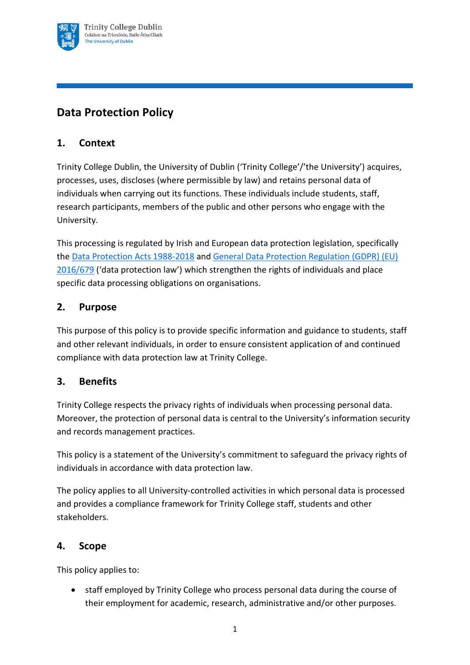

# **Data Protection Policy**

## **1. Context**

Trinity College Dublin, the University of Dublin ('Trinity College'/'the University') acquires, processes, uses, discloses (where permissible by law) and retains personal data of individuals when carrying out its functions. These individuals include students, staff, research participants, members of the public and other persons who engage with the University.

This processing is regulated by Irish and European data protection legislation, specifically the [Data Protection Acts 1988-2018](http://www.irishstatutebook.ie/eli/2018/act/7/enacted/en/html) and [General Data Protection Regulation](https://eur-lex.europa.eu/eli/reg/2016/679/oj) (GDPR) (EU) [2016/679](https://eur-lex.europa.eu/eli/reg/2016/679/oj) ('data protection law') which strengthen the rights of individuals and place specific data processing obligations on organisations.

## **2. Purpose**

This purpose of this policy is to provide specific information and guidance to students, staff and other relevant individuals, in order to ensure consistent application of and continued compliance with data protection law at Trinity College.

## **3. Benefits**

Trinity College respects the privacy rights of individuals when processing personal data. Moreover, the protection of personal data is central to the University's information security and records management practices.

This policy is a statement of the University's commitment to safeguard the privacy rights of individuals in accordance with data protection law.

The policy applies to all University-controlled activities in which personal data is processed and provides a compliance framework for Trinity College staff, students and other stakeholders.

### **4. Scope**

This policy applies to:

• staff employed by Trinity College who process personal data during the course of their employment for academic, research, administrative and/or other purposes.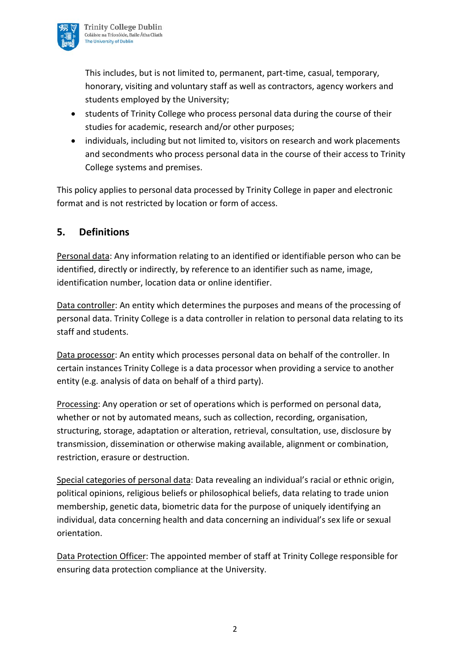

This includes, but is not limited to, permanent, part-time, casual, temporary, honorary, visiting and voluntary staff as well as contractors, agency workers and students employed by the University;

- students of Trinity College who process personal data during the course of their studies for academic, research and/or other purposes;
- individuals, including but not limited to, visitors on research and work placements and secondments who process personal data in the course of their access to Trinity College systems and premises.

This policy applies to personal data processed by Trinity College in paper and electronic format and is not restricted by location or form of access.

## **5. Definitions**

Personal data: Any information relating to an identified or identifiable person who can be identified, directly or indirectly, by reference to an identifier such as name, image, identification number, location data or online identifier.

Data controller: An entity which determines the purposes and means of the processing of personal data. Trinity College is a data controller in relation to personal data relating to its staff and students.

Data processor: An entity which processes personal data on behalf of the controller. In certain instances Trinity College is a data processor when providing a service to another entity (e.g. analysis of data on behalf of a third party).

Processing: Any operation or set of operations which is performed on personal data, whether or not by automated means, such as collection, recording, organisation, structuring, storage, adaptation or alteration, retrieval, consultation, use, disclosure by transmission, dissemination or otherwise making available, alignment or combination, restriction, erasure or destruction.

Special categories of personal data: Data revealing an individual's racial or ethnic origin, political opinions, religious beliefs or philosophical beliefs, data relating to trade union membership, genetic data, biometric data for the purpose of uniquely identifying an individual, data concerning health and data concerning an individual's sex life or sexual orientation.

Data Protection Officer: The appointed member of staff at Trinity College responsible for ensuring data protection compliance at the University.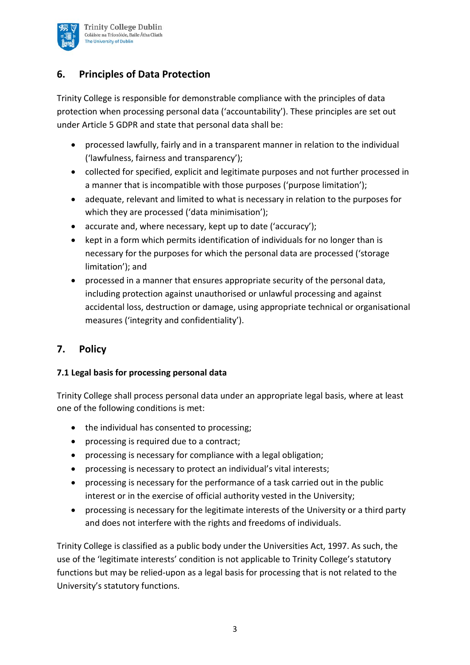

## **6. Principles of Data Protection**

Trinity College is responsible for demonstrable compliance with the principles of data protection when processing personal data ('accountability'). These principles are set out under Article 5 GDPR and state that personal data shall be:

- processed lawfully, fairly and in a transparent manner in relation to the individual ('lawfulness, fairness and transparency');
- collected for specified, explicit and legitimate purposes and not further processed in a manner that is incompatible with those purposes ('purpose limitation');
- adequate, relevant and limited to what is necessary in relation to the purposes for which they are processed ('data minimisation');
- accurate and, where necessary, kept up to date ('accuracy');
- kept in a form which permits identification of individuals for no longer than is necessary for the purposes for which the personal data are processed ('storage limitation'); and
- processed in a manner that ensures appropriate security of the personal data, including protection against unauthorised or unlawful processing and against accidental loss, destruction or damage, using appropriate technical or organisational measures ('integrity and confidentiality').

## **7. Policy**

### **7.1 Legal basis for processing personal data**

Trinity College shall process personal data under an appropriate legal basis, where at least one of the following conditions is met:

- the individual has consented to processing;
- processing is required due to a contract;
- processing is necessary for compliance with a legal obligation;
- processing is necessary to protect an individual's vital interests;
- processing is necessary for the performance of a task carried out in the public interest or in the exercise of official authority vested in the University;
- processing is necessary for the legitimate interests of the University or a third party and does not interfere with the rights and freedoms of individuals.

Trinity College is classified as a public body under the Universities Act, 1997. As such, the use of the 'legitimate interests' condition is not applicable to Trinity College's statutory functions but may be relied-upon as a legal basis for processing that is not related to the University's statutory functions.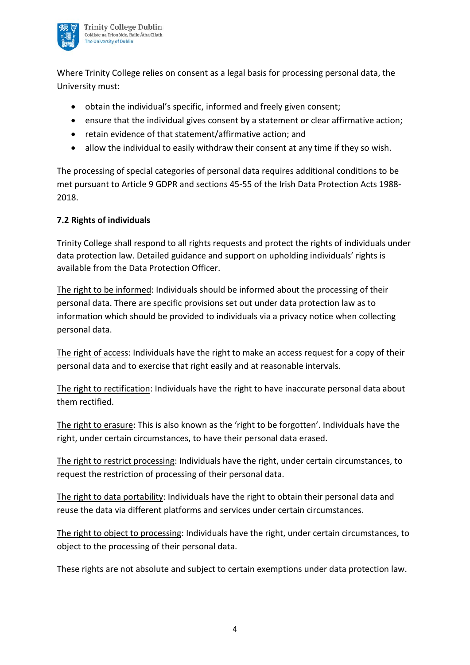

Where Trinity College relies on consent as a legal basis for processing personal data, the University must:

- obtain the individual's specific, informed and freely given consent;
- ensure that the individual gives consent by a statement or clear affirmative action;
- retain evidence of that statement/affirmative action; and
- allow the individual to easily withdraw their consent at any time if they so wish.

The processing of special categories of personal data requires additional conditions to be met pursuant to Article 9 GDPR and sections 45-55 of the Irish Data Protection Acts 1988- 2018.

#### **7.2 Rights of individuals**

Trinity College shall respond to all rights requests and protect the rights of individuals under data protection law. Detailed guidance and support on upholding individuals' rights is available from the Data Protection Officer.

The right to be informed: Individuals should be informed about the processing of their personal data. There are specific provisions set out under data protection law as to information which should be provided to individuals via a privacy notice when collecting personal data.

The right of access: Individuals have the right to make an access request for a copy of their personal data and to exercise that right easily and at reasonable intervals.

The right to rectification: Individuals have the right to have inaccurate personal data about them rectified.

The right to erasure: This is also known as the 'right to be forgotten'. Individuals have the right, under certain circumstances, to have their personal data erased.

The right to restrict processing: Individuals have the right, under certain circumstances, to request the restriction of processing of their personal data.

The right to data portability: Individuals have the right to obtain their personal data and reuse the data via different platforms and services under certain circumstances.

The right to object to processing: Individuals have the right, under certain circumstances, to object to the processing of their personal data.

These rights are not absolute and subject to certain exemptions under data protection law.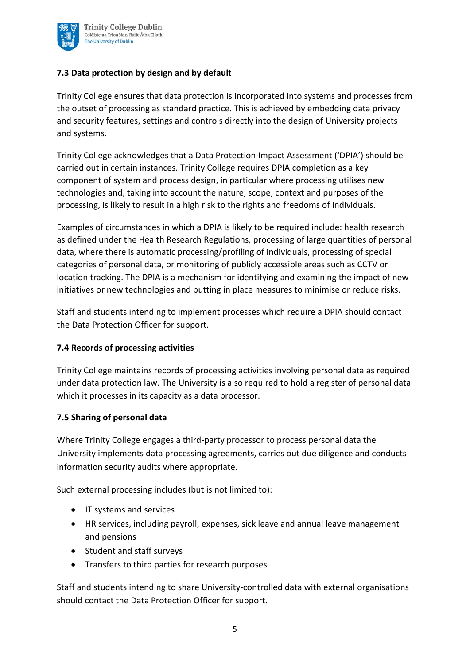

#### **7.3 Data protection by design and by default**

Trinity College ensures that data protection is incorporated into systems and processes from the outset of processing as standard practice. This is achieved by embedding data privacy and security features, settings and controls directly into the design of University projects and systems.

Trinity College acknowledges that a Data Protection Impact Assessment ('DPIA') should be carried out in certain instances. Trinity College requires DPIA completion as a key component of system and process design, in particular where processing utilises new technologies and, taking into account the nature, scope, context and purposes of the processing, is likely to result in a high risk to the rights and freedoms of individuals.

Examples of circumstances in which a DPIA is likely to be required include: health research as defined under the Health Research Regulations, processing of large quantities of personal data, where there is automatic processing/profiling of individuals, processing of special categories of personal data, or monitoring of publicly accessible areas such as CCTV or location tracking. The DPIA is a mechanism for identifying and examining the impact of new initiatives or new technologies and putting in place measures to minimise or reduce risks.

Staff and students intending to implement processes which require a DPIA should contact the Data Protection Officer for support.

#### **7.4 Records of processing activities**

Trinity College maintains records of processing activities involving personal data as required under data protection law. The University is also required to hold a register of personal data which it processes in its capacity as a data processor.

#### **7.5 Sharing of personal data**

Where Trinity College engages a third-party processor to process personal data the University implements data processing agreements, carries out due diligence and conducts information security audits where appropriate.

Such external processing includes (but is not limited to):

- IT systems and services
- HR services, including payroll, expenses, sick leave and annual leave management and pensions
- Student and staff surveys
- Transfers to third parties for research purposes

Staff and students intending to share University-controlled data with external organisations should contact the Data Protection Officer for support.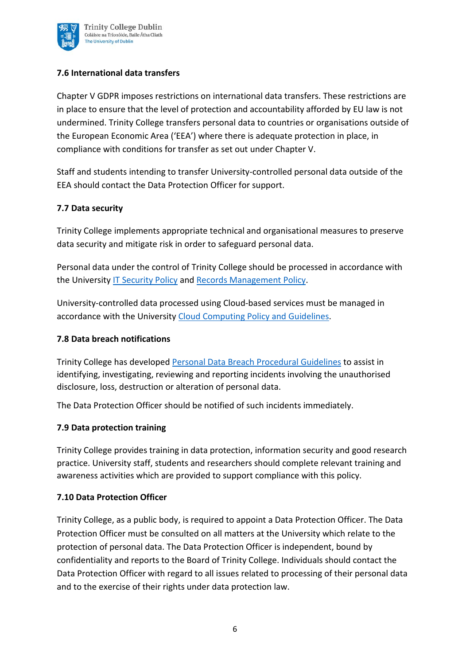

#### **7.6 International data transfers**

Chapter V GDPR imposes restrictions on international data transfers. These restrictions are in place to ensure that the level of protection and accountability afforded by EU law is not undermined. Trinity College transfers personal data to countries or organisations outside of the European Economic Area ('EEA') where there is adequate protection in place, in compliance with conditions for transfer as set out under Chapter V.

Staff and students intending to transfer University-controlled personal data outside of the EEA should contact the Data Protection Officer for support.

#### **7.7 Data security**

Trinity College implements appropriate technical and organisational measures to preserve data security and mitigate risk in order to safeguard personal data.

Personal data under the control of Trinity College should be processed in accordance with the University [IT Security Policy](https://www.tcd.ie/ITSecurity/policies/infosec.php) and [Records Management Policy.](https://www.tcd.ie/about/policies/160713%20Records%20Management%20Policy_website.pdf)

University-controlled data processed using Cloud-based services must be managed in accordance with the University [Cloud Computing Policy](https://www.tcd.ie/about/policies/assets/pdf/Cloud-Policy-2014-final.pdf) and Guidelines.

#### **7.8 Data breach notifications**

Trinity College has developed [Personal Data Breach Procedural Guidelines](https://www.tcd.ie/info_compliance/data-protection/documents/TCD_Personal_Data_Breach_Procedural_Guidelines.pdf) to assist in identifying, investigating, reviewing and reporting incidents involving the unauthorised disclosure, loss, destruction or alteration of personal data.

The Data Protection Officer should be notified of such incidents immediately.

#### **7.9 Data protection training**

Trinity College provides training in data protection, information security and good research practice. University staff, students and researchers should complete relevant training and awareness activities which are provided to support compliance with this policy.

#### **7.10 Data Protection Officer**

Trinity College, as a public body, is required to appoint a Data Protection Officer. The Data Protection Officer must be consulted on all matters at the University which relate to the protection of personal data. The Data Protection Officer is independent, bound by confidentiality and reports to the Board of Trinity College. Individuals should contact the Data Protection Officer with regard to all issues related to processing of their personal data and to the exercise of their rights under data protection law.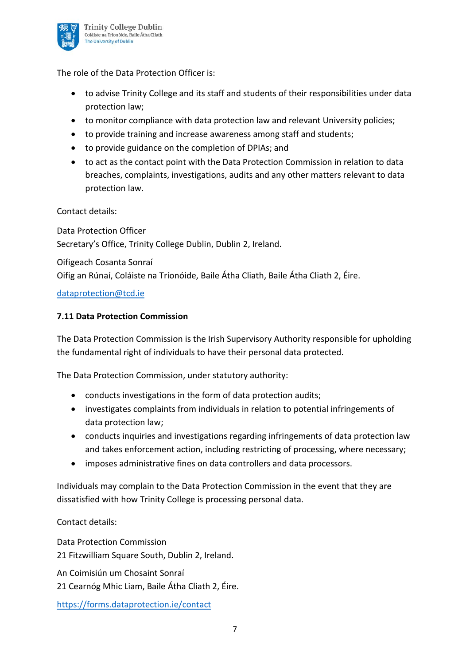

The role of the Data Protection Officer is:

- to advise Trinity College and its staff and students of their responsibilities under data protection law;
- to monitor compliance with data protection law and relevant University policies;
- to provide training and increase awareness among staff and students;
- to provide guidance on the completion of DPIAs; and
- to act as the contact point with the Data Protection Commission in relation to data breaches, complaints, investigations, audits and any other matters relevant to data protection law.

Contact details:

Data Protection Officer Secretary's Office, Trinity College Dublin, Dublin 2, Ireland.

Oifigeach Cosanta Sonraí Oifig an Rúnaí, Coláiste na Tríonóide, Baile Átha Cliath, Baile Átha Cliath 2, Éire.

[dataprotection@tcd.ie](mailto:dataprotection@tcd.ie)

### **7.11 Data Protection Commission**

The Data Protection Commission is the Irish Supervisory Authority responsible for upholding the fundamental right of individuals to have their personal data protected.

The Data Protection Commission, under statutory authority:

- conducts investigations in the form of data protection audits;
- investigates complaints from individuals in relation to potential infringements of data protection law;
- conducts inquiries and investigations regarding infringements of data protection law and takes enforcement action, including restricting of processing, where necessary;
- imposes administrative fines on data controllers and data processors.

Individuals may complain to the Data Protection Commission in the event that they are dissatisfied with how Trinity College is processing personal data.

Contact details:

Data Protection Commission 21 Fitzwilliam Square South, Dublin 2, Ireland.

An Coimisiún um Chosaint Sonraí

21 Cearnóg Mhic Liam, Baile Átha Cliath 2, Éire.

<https://forms.dataprotection.ie/contact>